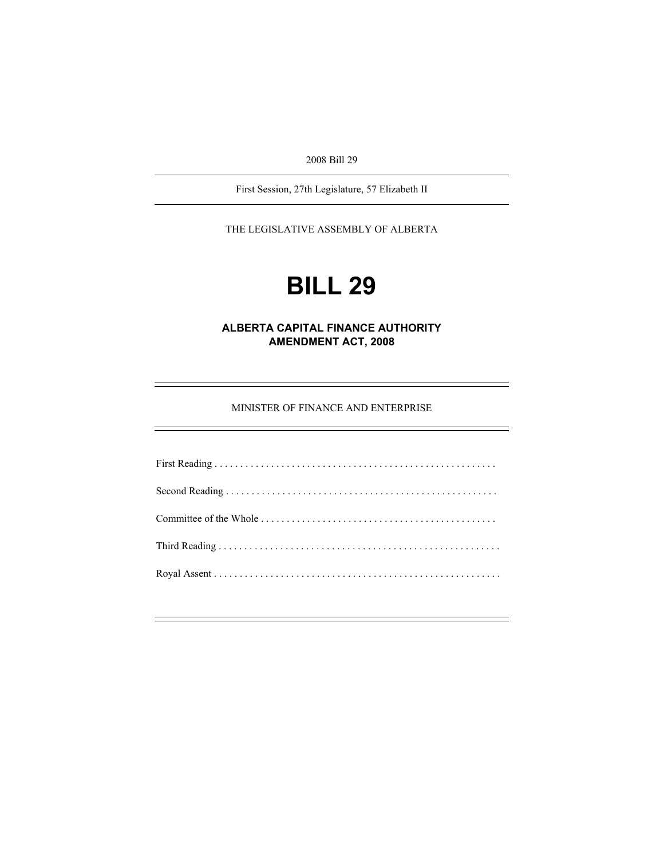2008 Bill 29

First Session, 27th Legislature, 57 Elizabeth II

THE LEGISLATIVE ASSEMBLY OF ALBERTA

# **BILL 29**

**ALBERTA CAPITAL FINANCE AUTHORITY AMENDMENT ACT, 2008** 

MINISTER OF FINANCE AND ENTERPRISE

÷.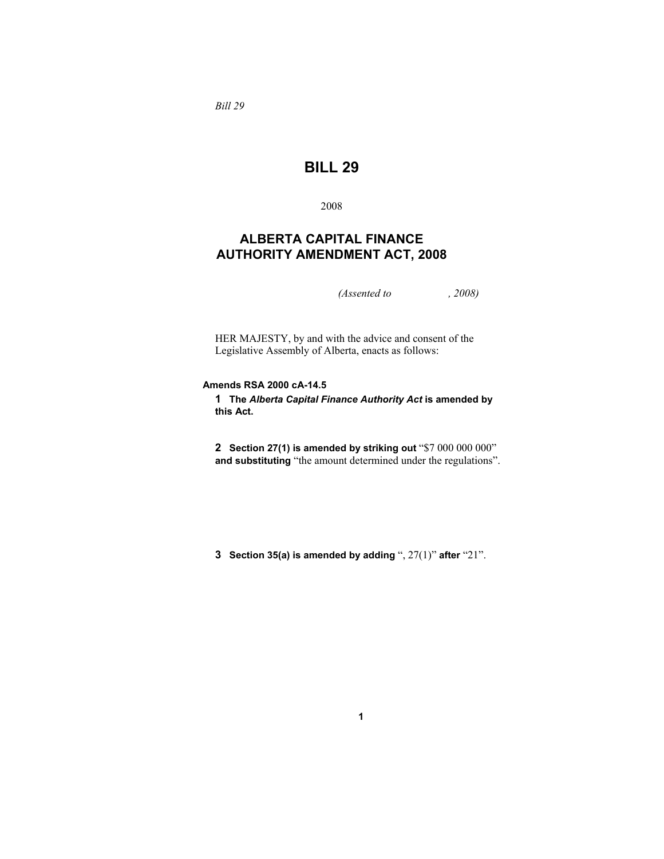*Bill 29* 

## **BILL 29**

2008

### **ALBERTA CAPITAL FINANCE AUTHORITY AMENDMENT ACT, 2008**

*(Assented to , 2008)* 

HER MAJESTY, by and with the advice and consent of the Legislative Assembly of Alberta, enacts as follows:

#### **Amends RSA 2000 cA-14.5**

**1 The** *Alberta Capital Finance Authority Act* **is amended by this Act.**

**2 Section 27(1) is amended by striking out** "\$7 000 000 000" **and substituting** "the amount determined under the regulations".

**3 Section 35(a) is amended by adding** ", 27(1)" **after** "21".

**1**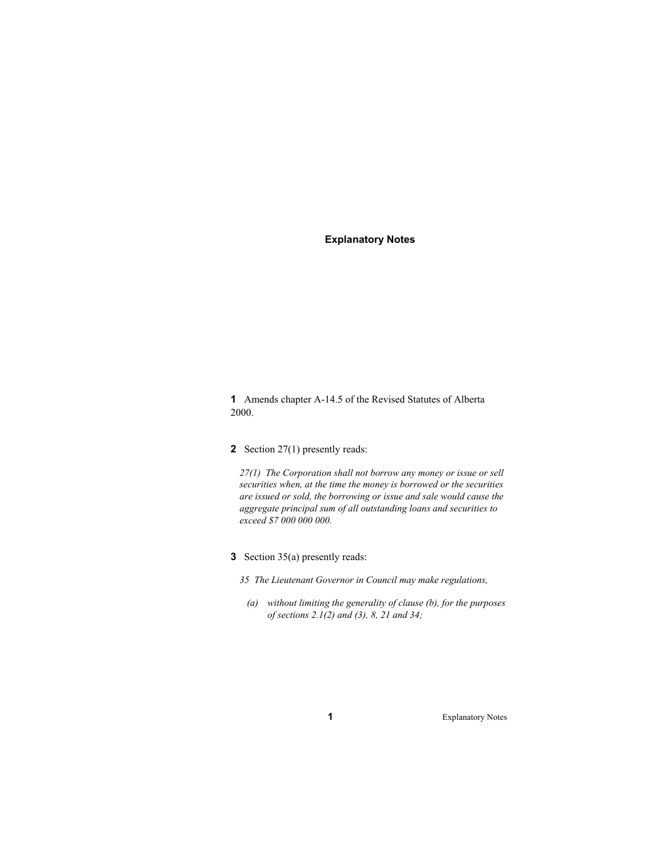#### **Explanatory Notes**

**1** Amends chapter A-14.5 of the Revised Statutes of Alberta 2000.

**2** Section 27(1) presently reads:

*27(1) The Corporation shall not borrow any money or issue or sell securities when, at the time the money is borrowed or the securities are issued or sold, the borrowing or issue and sale would cause the aggregate principal sum of all outstanding loans and securities to exceed \$7 000 000 000.* 

**3** Section 35(a) presently reads:

*35 The Lieutenant Governor in Council may make regulations,* 

 *(a) without limiting the generality of clause (b), for the purposes of sections 2.1(2) and (3), 8, 21 and 34;*